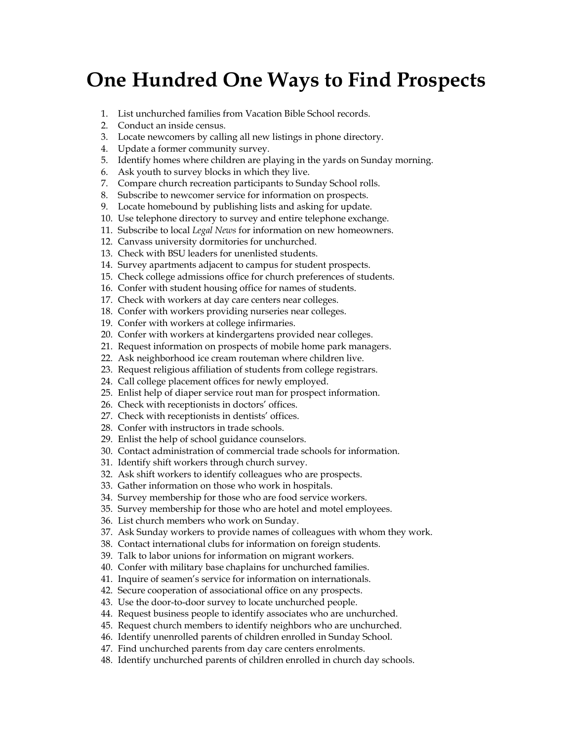## **One Hundred One Ways to Find Prospects**

- 1. List unchurched families from Vacation Bible School records.
- 2. Conduct an inside census.
- 3. Locate newcomers by calling all new listings in phone directory.
- 4. Update a former community survey.
- 5. Identify homes where children are playing in the yards on Sunday morning.
- 6. Ask youth to survey blocks in which they live.
- 7. Compare church recreation participants to Sunday School rolls.
- 8. Subscribe to newcomer service for information on prospects.
- 9. Locate homebound by publishing lists and asking for update.
- 10. Use telephone directory to survey and entire telephone exchange.
- 11. Subscribe to local *Legal News* for information on new homeowners.
- 12. Canvass university dormitories for unchurched.
- 13. Check with BSU leaders for unenlisted students.
- 14. Survey apartments adjacent to campus for student prospects.
- 15. Check college admissions office for church preferences of students.
- 16. Confer with student housing office for names of students.
- 17. Check with workers at day care centers near colleges.
- 18. Confer with workers providing nurseries near colleges.
- 19. Confer with workers at college infirmaries.
- 20. Confer with workers at kindergartens provided near colleges.
- 21. Request information on prospects of mobile home park managers.
- 22. Ask neighborhood ice cream routeman where children live.
- 23. Request religious affiliation of students from college registrars.
- 24. Call college placement offices for newly employed.
- 25. Enlist help of diaper service rout man for prospect information.
- 26. Check with receptionists in doctors' offices.
- 27. Check with receptionists in dentists' offices.
- 28. Confer with instructors in trade schools.
- 29. Enlist the help of school guidance counselors.
- 30. Contact administration of commercial trade schools for information.
- 31. Identify shift workers through church survey.
- 32. Ask shift workers to identify colleagues who are prospects.
- 33. Gather information on those who work in hospitals.
- 34. Survey membership for those who are food service workers.
- 35. Survey membership for those who are hotel and motel employees.
- 36. List church members who work on Sunday.
- 37. Ask Sunday workers to provide names of colleagues with whom they work.
- 38. Contact international clubs for information on foreign students.
- 39. Talk to labor unions for information on migrant workers.
- 40. Confer with military base chaplains for unchurched families.
- 41. Inquire of seamen's service for information on internationals.
- 42. Secure cooperation of associational office on any prospects.
- 43. Use the door-to-door survey to locate unchurched people.
- 44. Request business people to identify associates who are unchurched.
- 45. Request church members to identify neighbors who are unchurched.
- 46. Identify unenrolled parents of children enrolled in Sunday School.
- 47. Find unchurched parents from day care centers enrolments.
- 48. Identify unchurched parents of children enrolled in church day schools.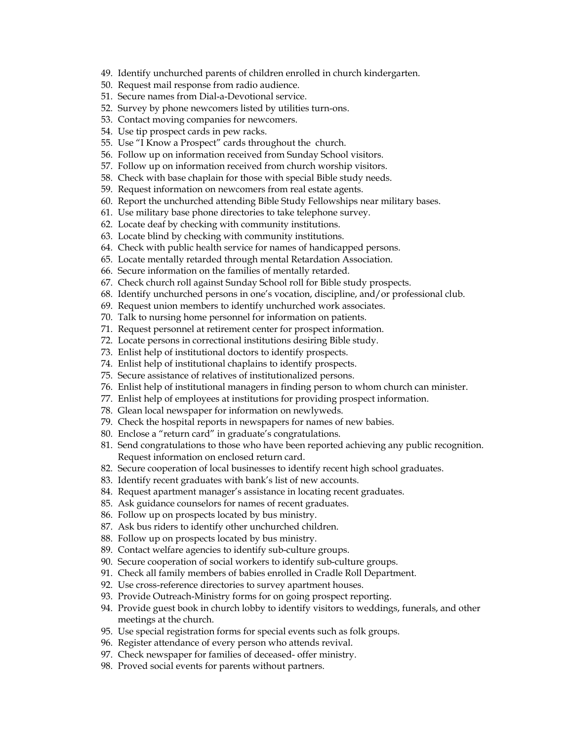- 49. Identify unchurched parents of children enrolled in church kindergarten.
- 50. Request mail response from radio audience.
- 51. Secure names from Dial-a-Devotional service.
- 52. Survey by phone newcomers listed by utilities turn-ons.
- 53. Contact moving companies for newcomers.
- 54. Use tip prospect cards in pew racks.
- 55. Use "I Know a Prospect" cards throughout the church.
- 56. Follow up on information received from Sunday School visitors.
- 57. Follow up on information received from church worship visitors.
- 58. Check with base chaplain for those with special Bible study needs.
- 59. Request information on newcomers from real estate agents.
- 60. Report the unchurched attending Bible Study Fellowships near military bases.
- 61. Use military base phone directories to take telephone survey.
- 62. Locate deaf by checking with community institutions.
- 63. Locate blind by checking with community institutions.
- 64. Check with public health service for names of handicapped persons.
- 65. Locate mentally retarded through mental Retardation Association.
- 66. Secure information on the families of mentally retarded.
- 67. Check church roll against Sunday School roll for Bible study prospects.
- 68. Identify unchurched persons in one's vocation, discipline, and/or professional club.
- 69. Request union members to identify unchurched work associates.
- 70. Talk to nursing home personnel for information on patients.
- 71. Request personnel at retirement center for prospect information.
- 72. Locate persons in correctional institutions desiring Bible study.
- 73. Enlist help of institutional doctors to identify prospects.
- 74. Enlist help of institutional chaplains to identify prospects.
- 75. Secure assistance of relatives of institutionalized persons.
- 76. Enlist help of institutional managers in finding person to whom church can minister.
- 77. Enlist help of employees at institutions for providing prospect information.
- 78. Glean local newspaper for information on newlyweds.
- 79. Check the hospital reports in newspapers for names of new babies.
- 80. Enclose a "return card" in graduate's congratulations.
- 81. Send congratulations to those who have been reported achieving any public recognition. Request information on enclosed return card.
- 82. Secure cooperation of local businesses to identify recent high school graduates.
- 83. Identify recent graduates with bank's list of new accounts.
- 84. Request apartment manager's assistance in locating recent graduates.
- 85. Ask guidance counselors for names of recent graduates.
- 86. Follow up on prospects located by bus ministry.
- 87. Ask bus riders to identify other unchurched children.
- 88. Follow up on prospects located by bus ministry.
- 89. Contact welfare agencies to identify sub-culture groups.
- 90. Secure cooperation of social workers to identify sub-culture groups.
- 91. Check all family members of babies enrolled in Cradle Roll Department.
- 92. Use cross-reference directories to survey apartment houses.
- 93. Provide Outreach-Ministry forms for on going prospect reporting.
- 94. Provide guest book in church lobby to identify visitors to weddings, funerals, and other meetings at the church.
- 95. Use special registration forms for special events such as folk groups.
- 96. Register attendance of every person who attends revival.
- 97. Check newspaper for families of deceased- offer ministry.
- 98. Proved social events for parents without partners.